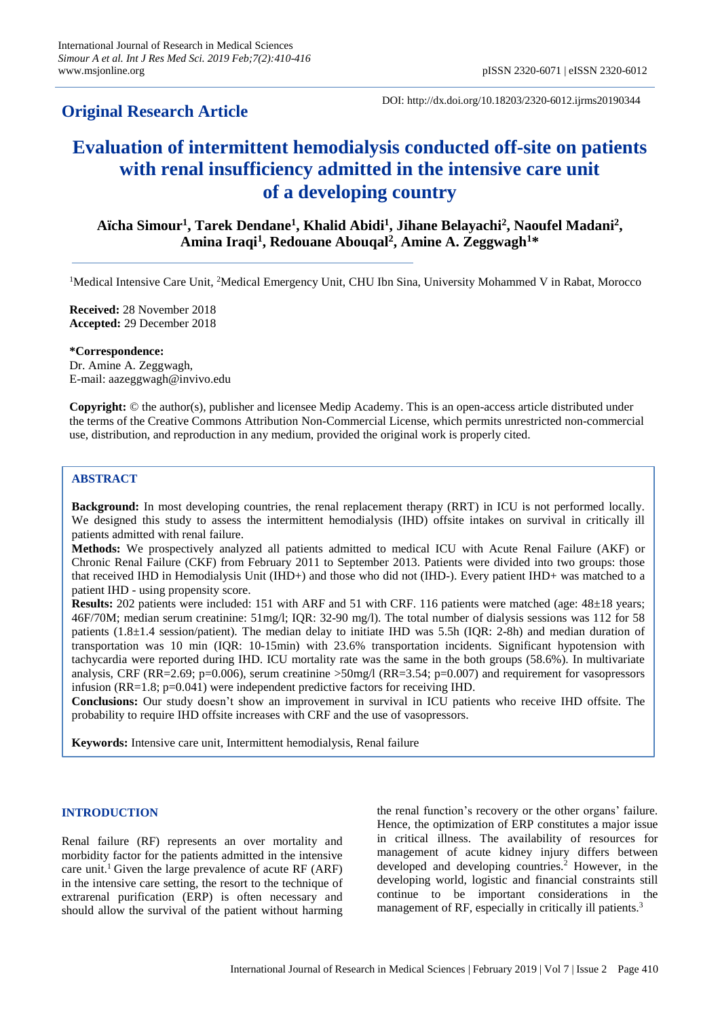# **Original Research Article**

DOI: http://dx.doi.org/10.18203/2320-6012.ijrms20190344

# **Evaluation of intermittent hemodialysis conducted off-site on patients with renal insufficiency admitted in the intensive care unit of a developing country**

**Aïcha Simour<sup>1</sup> , Tarek Dendane<sup>1</sup> , Khalid Abidi<sup>1</sup> , Jihane Belayachi<sup>2</sup> , Naoufel Madani<sup>2</sup> , Amina Iraqi<sup>1</sup> , Redouane Abouqal<sup>2</sup> , Amine A. Zeggwagh<sup>1</sup>\***

<sup>1</sup>Medical Intensive Care Unit, <sup>2</sup>Medical Emergency Unit, CHU Ibn Sina, University Mohammed V in Rabat, Morocco

**Received:** 28 November 2018 **Accepted:** 29 December 2018

**\*Correspondence:** Dr. Amine A. Zeggwagh, E-mail: aazeggwagh@invivo.edu

**Copyright:** © the author(s), publisher and licensee Medip Academy. This is an open-access article distributed under the terms of the Creative Commons Attribution Non-Commercial License, which permits unrestricted non-commercial use, distribution, and reproduction in any medium, provided the original work is properly cited.

## **ABSTRACT**

**Background:** In most developing countries, the renal replacement therapy (RRT) in ICU is not performed locally. We designed this study to assess the intermittent hemodialysis (IHD) offsite intakes on survival in critically ill patients admitted with renal failure.

**Methods:** We prospectively analyzed all patients admitted to medical ICU with Acute Renal Failure (AKF) or Chronic Renal Failure (CKF) from February 2011 to September 2013. Patients were divided into two groups: those that received IHD in Hemodialysis Unit (IHD+) and those who did not (IHD-). Every patient IHD+ was matched to a patient IHD - using propensity score.

**Results:** 202 patients were included: 151 with ARF and 51 with CRF. 116 patients were matched (age: 48±18 years; 46F/70M; median serum creatinine: 51mg/l; IQR: 32-90 mg/l). The total number of dialysis sessions was 112 for 58 patients (1.8±1.4 session/patient). The median delay to initiate IHD was 5.5h (IQR: 2-8h) and median duration of transportation was 10 min (IQR: 10-15min) with 23.6% transportation incidents. Significant hypotension with tachycardia were reported during IHD. ICU mortality rate was the same in the both groups (58.6%). In multivariate analysis, CRF (RR=2.69; p=0.006), serum creatinine  $>50$ mg/l (RR=3.54; p=0.007) and requirement for vasopressors infusion (RR=1.8; p=0.041) were independent predictive factors for receiving IHD.

**Conclusions:** Our study doesn't show an improvement in survival in ICU patients who receive IHD offsite. The probability to require IHD offsite increases with CRF and the use of vasopressors.

**Keywords:** Intensive care unit, Intermittent hemodialysis, Renal failure

# **INTRODUCTION**

Renal failure (RF) represents an over mortality and morbidity factor for the patients admitted in the intensive care unit.<sup>1</sup> Given the large prevalence of acute RF  $(ARF)$ in the intensive care setting, the resort to the technique of extrarenal purification (ERP) is often necessary and should allow the survival of the patient without harming the renal function's recovery or the other organs' failure. Hence, the optimization of ERP constitutes a major issue in critical illness. The availability of resources for management of acute kidney injury differs between developed and developing countries.<sup>2</sup> However, in the developing world, logistic and financial constraints still continue to be important considerations in the management of RF, especially in critically ill patients.<sup>3</sup>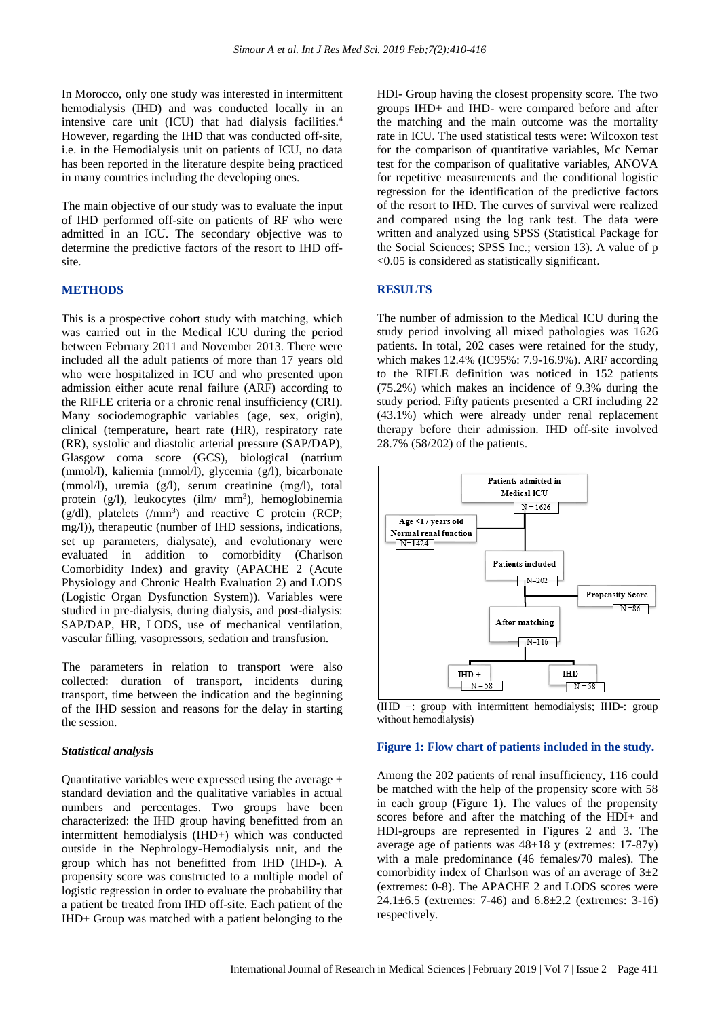In Morocco, only one study was interested in intermittent hemodialysis (IHD) and was conducted locally in an intensive care unit (ICU) that had dialysis facilities.<sup>4</sup> However, regarding the IHD that was conducted off-site, i.e. in the Hemodialysis unit on patients of ICU, no data has been reported in the literature despite being practiced in many countries including the developing ones.

The main objective of our study was to evaluate the input of IHD performed off-site on patients of RF who were admitted in an ICU. The secondary objective was to determine the predictive factors of the resort to IHD offsite.

#### **METHODS**

This is a prospective cohort study with matching, which was carried out in the Medical ICU during the period between February 2011 and November 2013. There were included all the adult patients of more than 17 years old who were hospitalized in ICU and who presented upon admission either acute renal failure (ARF) according to the RIFLE criteria or a chronic renal insufficiency (CRI). Many sociodemographic variables (age, sex, origin), clinical (temperature, heart rate (HR), respiratory rate (RR), systolic and diastolic arterial pressure (SAP/DAP), Glasgow coma score (GCS), biological (natrium (mmol/l), kaliemia (mmol/l), glycemia (g/l), bicarbonate (mmol/l), uremia (g/l), serum creatinine (mg/l), total protein  $(g/l)$ , leukocytes  $(ilm/mm<sup>3</sup>)$ , hemoglobinemia  $(g/dl)$ , platelets  $(mm<sup>3</sup>)$  and reactive C protein (RCP; mg/l)), therapeutic (number of IHD sessions, indications, set up parameters, dialysate), and evolutionary were evaluated in addition to comorbidity (Charlson Comorbidity Index) and gravity (APACHE 2 (Acute Physiology and Chronic Health Evaluation 2) and LODS (Logistic Organ Dysfunction System)). Variables were studied in pre-dialysis, during dialysis, and post-dialysis: SAP/DAP, HR, LODS, use of mechanical ventilation, vascular filling, vasopressors, sedation and transfusion.

The parameters in relation to transport were also collected: duration of transport, incidents during transport, time between the indication and the beginning of the IHD session and reasons for the delay in starting the session.

#### *Statistical analysis*

Quantitative variables were expressed using the average  $\pm$ standard deviation and the qualitative variables in actual numbers and percentages. Two groups have been characterized: the IHD group having benefitted from an intermittent hemodialysis (IHD+) which was conducted outside in the Nephrology-Hemodialysis unit, and the group which has not benefitted from IHD (IHD-). A propensity score was constructed to a multiple model of logistic regression in order to evaluate the probability that a patient be treated from IHD off-site. Each patient of the IHD+ Group was matched with a patient belonging to the HDI- Group having the closest propensity score. The two groups IHD+ and IHD- were compared before and after the matching and the main outcome was the mortality rate in ICU. The used statistical tests were: Wilcoxon test for the comparison of quantitative variables, Mc Nemar test for the comparison of qualitative variables, ANOVA for repetitive measurements and the conditional logistic regression for the identification of the predictive factors of the resort to IHD. The curves of survival were realized and compared using the log rank test. The data were written and analyzed using SPSS (Statistical Package for the Social Sciences; SPSS Inc.; version 13). A value of p <0.05 is considered as statistically significant.

### **RESULTS**

The number of admission to the Medical ICU during the study period involving all mixed pathologies was 1626 patients. In total, 202 cases were retained for the study, which makes 12.4% (IC95%: 7.9-16.9%). ARF according to the RIFLE definition was noticed in 152 patients (75.2%) which makes an incidence of 9.3% during the study period. Fifty patients presented a CRI including 22 (43.1%) which were already under renal replacement therapy before their admission. IHD off-site involved 28.7% (58/202) of the patients.



(IHD +: group with intermittent hemodialysis; IHD-: group without hemodialysis)

#### **Figure 1: Flow chart of patients included in the study.**

Among the 202 patients of renal insufficiency, 116 could be matched with the help of the propensity score with 58 in each group (Figure 1). The values of the propensity scores before and after the matching of the HDI+ and HDI-groups are represented in Figures 2 and 3. The average age of patients was  $48\pm18$  y (extremes: 17-87y) with a male predominance (46 females/70 males). The comorbidity index of Charlson was of an average of  $3\pm 2$ (extremes: 0-8). The APACHE 2 and LODS scores were 24.1±6.5 (extremes: 7-46) and 6.8±2.2 (extremes: 3-16) respectively.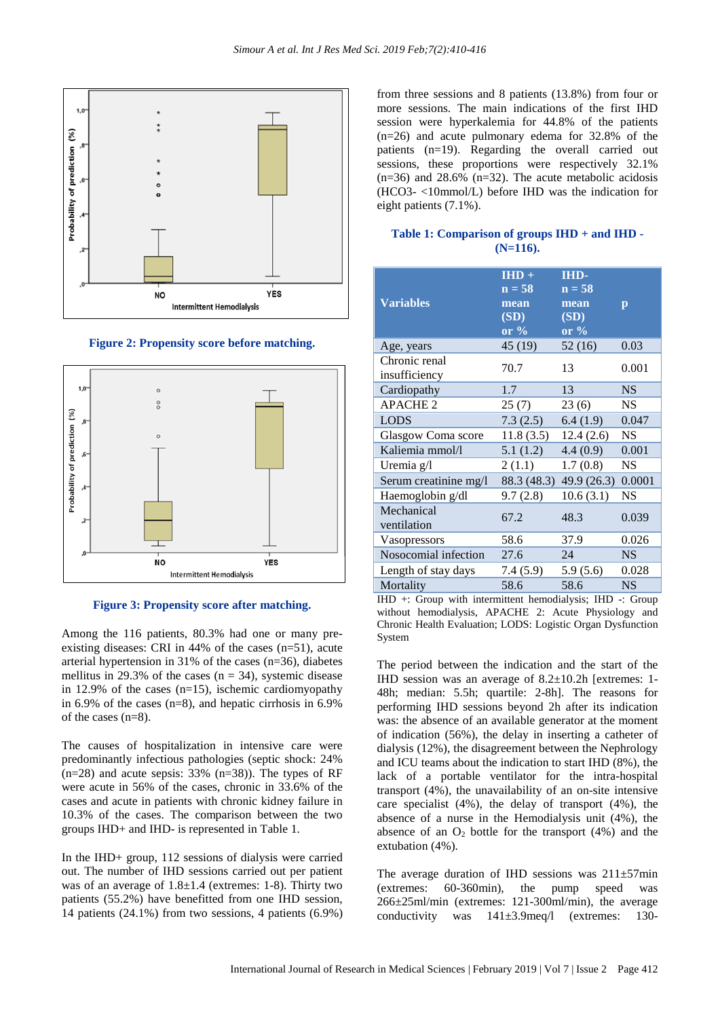

**Figure 2: Propensity score before matching.**



**Figure 3: Propensity score after matching.**

Among the 116 patients, 80.3% had one or many preexisting diseases: CRI in 44% of the cases (n=51), acute arterial hypertension in 31% of the cases (n=36), diabetes mellitus in 29.3% of the cases ( $n = 34$ ), systemic disease in 12.9% of the cases  $(n=15)$ , ischemic cardiomyopathy in 6.9% of the cases (n=8), and hepatic cirrhosis in 6.9% of the cases (n=8).

The causes of hospitalization in intensive care were predominantly infectious pathologies (septic shock: 24%  $(n=28)$  and acute sepsis: 33%  $(n=38)$ ). The types of RF were acute in 56% of the cases, chronic in 33.6% of the cases and acute in patients with chronic kidney failure in 10.3% of the cases. The comparison between the two groups IHD+ and IHD- is represented in Table 1.

In the IHD+ group, 112 sessions of dialysis were carried out. The number of IHD sessions carried out per patient was of an average of  $1.8 \pm 1.4$  (extremes: 1-8). Thirty two patients (55.2%) have benefitted from one IHD session, 14 patients (24.1%) from two sessions, 4 patients (6.9%) from three sessions and 8 patients (13.8%) from four or more sessions. The main indications of the first IHD session were hyperkalemia for 44.8% of the patients (n=26) and acute pulmonary edema for 32.8% of the patients (n=19). Regarding the overall carried out sessions, these proportions were respectively 32.1% (n=36) and 28.6% (n=32). The acute metabolic acidosis (HCO3- <10mmol/L) before IHD was the indication for eight patients (7.1%).

| Table 1: Comparison of groups IHD + and IHD - |             |  |  |
|-----------------------------------------------|-------------|--|--|
|                                               | $(N=116)$ . |  |  |

| <b>Variables</b>               | $HID +$<br>$n = 58$<br>mean<br>(SD)<br>or $\%$ | <b>IHD-</b><br>$n = 58$<br>mean<br>(SD)<br>or $\%$ | $\mathbf{p}$ |
|--------------------------------|------------------------------------------------|----------------------------------------------------|--------------|
| Age, years                     | 45 (19)                                        | 52(16)                                             | 0.03         |
| Chronic renal<br>insufficiency | 70.7                                           | 13                                                 | 0.001        |
| Cardiopathy                    | 1.7                                            | 13                                                 | <b>NS</b>    |
| <b>APACHE 2</b>                | 25(7)                                          | 23 (6)                                             | <b>NS</b>    |
| <b>LODS</b>                    | 7.3(2.5)                                       | 6.4(1.9)                                           | 0.047        |
| Glasgow Coma score             | 11.8(3.5)                                      | 12.4(2.6)                                          | <b>NS</b>    |
| Kaliemia mmol/l                | 5.1(1.2)                                       | 4.4(0.9)                                           | 0.001        |
| Uremia g/l                     | 2(1.1)                                         | 1.7(0.8)                                           | <b>NS</b>    |
| Serum creatinine mg/l          | 88.3 (48.3)                                    | 49.9(26.3)                                         | 0.0001       |
| Haemoglobin g/dl               | 9.7(2.8)                                       | 10.6(3.1)                                          | <b>NS</b>    |
| Mechanical<br>ventilation      | 67.2                                           | 48.3                                               | 0.039        |
| Vasopressors                   | 58.6                                           | 37.9                                               | 0.026        |
| Nosocomial infection           | 27.6                                           | 24                                                 | <b>NS</b>    |
| Length of stay days            | 7.4 (5.9)                                      | 5.9(5.6)                                           | 0.028        |
| Mortality                      | 58.6                                           | 58.6                                               | <b>NS</b>    |

IHD +: Group with intermittent hemodialysis; IHD -: Group without hemodialysis, APACHE 2: Acute Physiology and Chronic Health Evaluation; LODS: Logistic Organ Dysfunction System

The period between the indication and the start of the IHD session was an average of 8.2±10.2h [extremes: 1- 48h; median: 5.5h; quartile: 2-8h]. The reasons for performing IHD sessions beyond 2h after its indication was: the absence of an available generator at the moment of indication (56%), the delay in inserting a catheter of dialysis (12%), the disagreement between the Nephrology and ICU teams about the indication to start IHD (8%), the lack of a portable ventilator for the intra-hospital transport (4%), the unavailability of an on-site intensive care specialist (4%), the delay of transport (4%), the absence of a nurse in the Hemodialysis unit (4%), the absence of an  $O_2$  bottle for the transport (4%) and the extubation (4%).

The average duration of IHD sessions was  $211\pm57$  min (extremes: 60-360min), the pump speed was 266±25ml/min (extremes: 121-300ml/min), the average conductivity was 141±3.9meq/l (extremes: 130-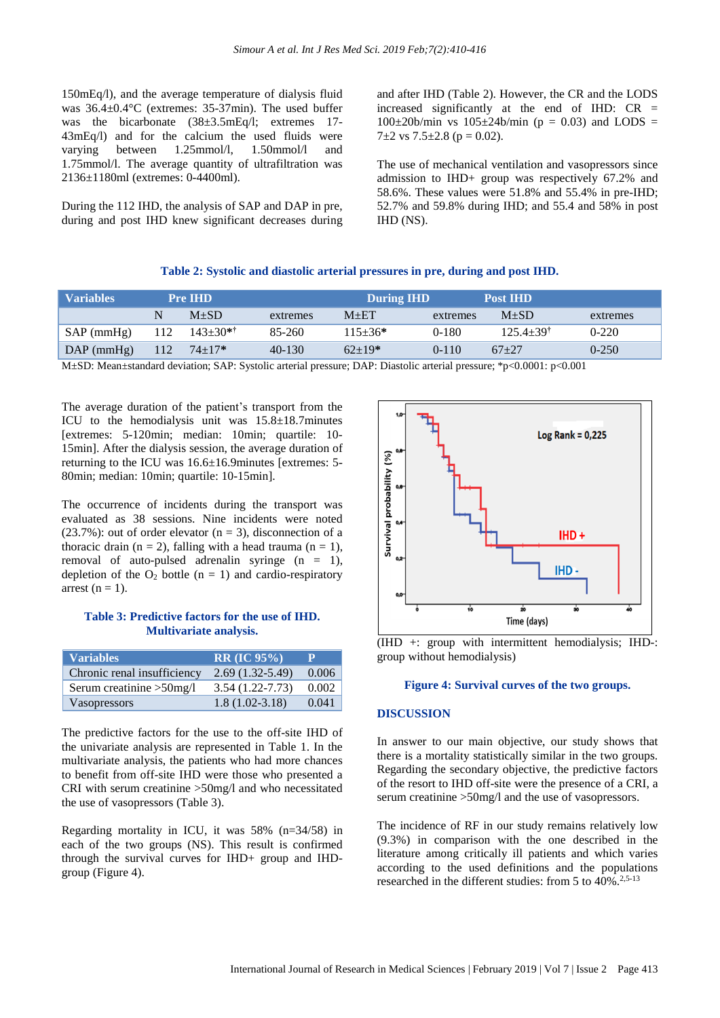150mEq/l), and the average temperature of dialysis fluid was 36.4±0.4°C (extremes: 35-37min). The used buffer was the bicarbonate (38±3.5mEq/l; extremes 17-43mEq/l) and for the calcium the used fluids were varying between 1.25mmol/l, 1.50mmol/l and 1.75mmol/l. The average quantity of ultrafiltration was 2136±1180ml (extremes: 0-4400ml).

During the 112 IHD, the analysis of SAP and DAP in pre, during and post IHD knew significant decreases during and after IHD (Table 2). However, the CR and the LODS increased significantly at the end of IHD:  $CR =$  $100\pm20$ b/min vs  $105\pm24$ b/min (p = 0.03) and LODS =  $7\pm2$  vs  $7.5\pm2.8$  (p = 0.02).

The use of mechanical ventilation and vasopressors since admission to IHD+ group was respectively 67.2% and 58.6%. These values were 51.8% and 55.4% in pre-IHD; 52.7% and 59.8% during IHD; and 55.4 and 58% in post IHD (NS).

#### **Table 2: Systolic and diastolic arterial pressures in pre, during and post IHD.**

| <b>Variables</b> | <b>Pre IHD</b> |            | <b>During IHD</b> |             |          | <b>Post IHD</b>           |           |
|------------------|----------------|------------|-------------------|-------------|----------|---------------------------|-----------|
|                  | N              | $M+SD$     | extremes          | $M + ET$    | extremes | $M+SD$                    | extremes  |
| $SAP$ (mmHg)     | 112            | $143+30**$ | 85-260            | $115 + 36*$ | $0-180$  | $125.4 + 39$ <sup>t</sup> | $0-220$   |
| $DAP$ (mmHg)     | 112            | $74 + 17*$ | $40-130$          | $62+19*$    | $0-110$  | $67+27$                   | $0 - 250$ |

M±SD: Mean±standard deviation; SAP: Systolic arterial pressure; DAP: Diastolic arterial pressure; \*p<0.0001: p<0.001

The average duration of the patient's transport from the ICU to the hemodialysis unit was 15.8±18.7minutes [extremes: 5-120min; median: 10min; quartile: 10- 15min]. After the dialysis session, the average duration of returning to the ICU was 16.6±16.9minutes [extremes: 5- 80min; median: 10min; quartile: 10-15min].

The occurrence of incidents during the transport was evaluated as 38 sessions. Nine incidents were noted (23.7%): out of order elevator  $(n = 3)$ , disconnection of a thoracic drain (n = 2), falling with a head trauma (n = 1), removal of auto-pulsed adrenalin syringe (n = 1), depletion of the  $O_2$  bottle (n = 1) and cardio-respiratory arrest ( $n = 1$ ).

#### **Table 3: Predictive factors for the use of IHD. Multivariate analysis.**

| <b>Variables</b>            | $RR$ (IC $95\%$ )   |       |
|-----------------------------|---------------------|-------|
| Chronic renal insufficiency | $2.69(1.32-5.49)$   | 0.006 |
| Serum creatinine $>50$ mg/l | $3.54(1.22 - 7.73)$ | 0.002 |
| Vasopressors                | $1.8(1.02 - 3.18)$  | 0.041 |

The predictive factors for the use to the off-site IHD of the univariate analysis are represented in Table 1. In the multivariate analysis, the patients who had more chances to benefit from off-site IHD were those who presented a CRI with serum creatinine >50mg/l and who necessitated the use of vasopressors (Table 3).

Regarding mortality in ICU, it was 58% (n=34/58) in each of the two groups (NS). This result is confirmed through the survival curves for IHD+ group and IHDgroup (Figure 4).



(IHD +: group with intermittent hemodialysis; IHD-: group without hemodialysis)

#### **Figure 4: Survival curves of the two groups.**

### **DISCUSSION**

In answer to our main objective, our study shows that there is a mortality statistically similar in the two groups. Regarding the secondary objective, the predictive factors of the resort to IHD off-site were the presence of a CRI, a serum creatinine >50mg/l and the use of vasopressors.

The incidence of RF in our study remains relatively low (9.3%) in comparison with the one described in the literature among critically ill patients and which varies according to the used definitions and the populations researched in the different studies: from 5 to  $40\%$ .<sup>2,5-13</sup>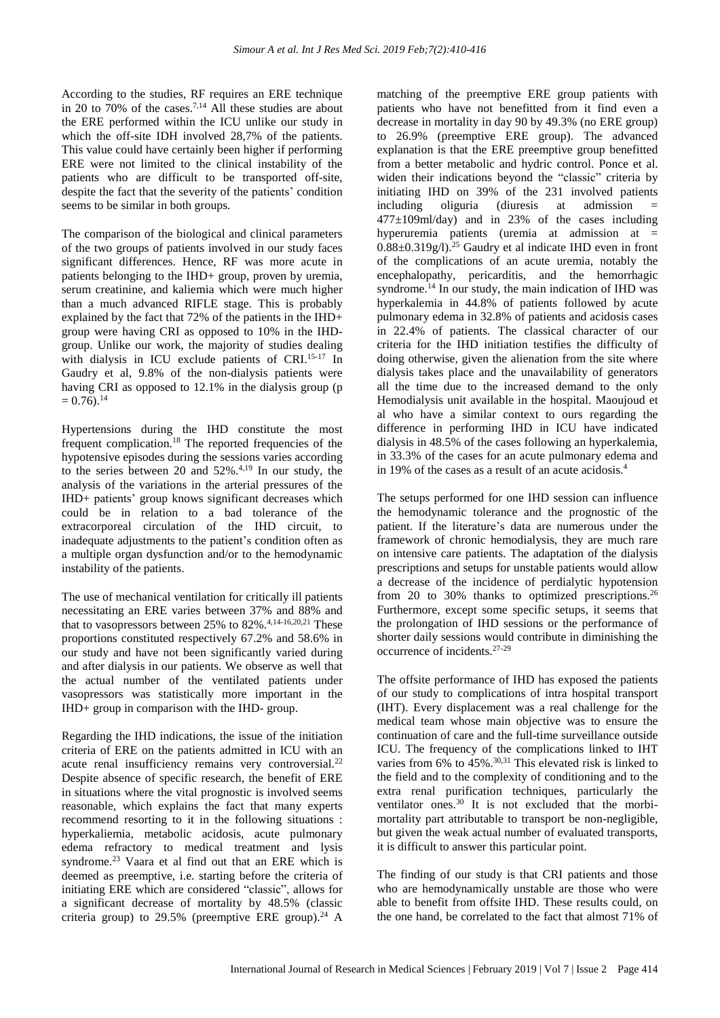According to the studies, RF requires an ERE technique in 20 to 70% of the cases.<sup>7,14</sup> All these studies are about the ERE performed within the ICU unlike our study in which the off-site IDH involved 28,7% of the patients. This value could have certainly been higher if performing ERE were not limited to the clinical instability of the patients who are difficult to be transported off-site, despite the fact that the severity of the patients' condition seems to be similar in both groups.

The comparison of the biological and clinical parameters of the two groups of patients involved in our study faces significant differences. Hence, RF was more acute in patients belonging to the IHD+ group, proven by uremia, serum creatinine, and kaliemia which were much higher than a much advanced RIFLE stage. This is probably explained by the fact that 72% of the patients in the IHD+ group were having CRI as opposed to 10% in the IHDgroup. Unlike our work, the majority of studies dealing with dialysis in ICU exclude patients of CRI.<sup>15-17</sup> In Gaudry et al, 9.8% of the non-dialysis patients were having CRI as opposed to 12.1% in the dialysis group (p  $= 0.76$ .<sup>14</sup>

Hypertensions during the IHD constitute the most frequent complication.<sup>18</sup> The reported frequencies of the hypotensive episodes during the sessions varies according to the series between 20 and  $52\%$ .<sup>4,19</sup> In our study, the analysis of the variations in the arterial pressures of the IHD+ patients' group knows significant decreases which could be in relation to a bad tolerance of the extracorporeal circulation of the IHD circuit, to inadequate adjustments to the patient's condition often as a multiple organ dysfunction and/or to the hemodynamic instability of the patients.

The use of mechanical ventilation for critically ill patients necessitating an ERE varies between 37% and 88% and that to vasopressors between  $25\%$  to  $82\%$ .<sup>4,14-16,20,21</sup> These proportions constituted respectively 67.2% and 58.6% in our study and have not been significantly varied during and after dialysis in our patients. We observe as well that the actual number of the ventilated patients under vasopressors was statistically more important in the IHD+ group in comparison with the IHD- group.

Regarding the IHD indications, the issue of the initiation criteria of ERE on the patients admitted in ICU with an acute renal insufficiency remains very controversial.<sup>22</sup> Despite absence of specific research, the benefit of ERE in situations where the vital prognostic is involved seems reasonable, which explains the fact that many experts recommend resorting to it in the following situations : hyperkaliemia, metabolic acidosis, acute pulmonary edema refractory to medical treatment and lysis syndrome.<sup>23</sup> Vaara et al find out that an ERE which is deemed as preemptive, i.e. starting before the criteria of initiating ERE which are considered "classic", allows for a significant decrease of mortality by 48.5% (classic criteria group) to  $29.5\%$  (preemptive ERE group).<sup>24</sup> A matching of the preemptive ERE group patients with patients who have not benefitted from it find even a decrease in mortality in day 90 by 49.3% (no ERE group) to 26.9% (preemptive ERE group). The advanced explanation is that the ERE preemptive group benefitted from a better metabolic and hydric control. Ponce et al. widen their indications beyond the "classic" criteria by initiating IHD on 39% of the 231 involved patients including oliguria (diuresis at admission =  $477 \pm 109$ ml/day) and in 23% of the cases including hyperuremia patients (uremia at admission at =  $0.88\pm0.319g/$ .<sup>25</sup> Gaudry et al indicate IHD even in front of the complications of an acute uremia, notably the encephalopathy, pericarditis, and the hemorrhagic syndrome.<sup>14</sup> In our study, the main indication of IHD was hyperkalemia in 44.8% of patients followed by acute pulmonary edema in 32.8% of patients and acidosis cases in 22.4% of patients. The classical character of our criteria for the IHD initiation testifies the difficulty of doing otherwise, given the alienation from the site where dialysis takes place and the unavailability of generators all the time due to the increased demand to the only Hemodialysis unit available in the hospital. Maoujoud et al who have a similar context to ours regarding the difference in performing IHD in ICU have indicated dialysis in 48.5% of the cases following an hyperkalemia, in 33.3% of the cases for an acute pulmonary edema and in 19% of the cases as a result of an acute acidosis.<sup>4</sup>

The setups performed for one IHD session can influence the hemodynamic tolerance and the prognostic of the patient. If the literature's data are numerous under the framework of chronic hemodialysis, they are much rare on intensive care patients. The adaptation of the dialysis prescriptions and setups for unstable patients would allow a decrease of the incidence of perdialytic hypotension from 20 to 30% thanks to optimized prescriptions.<sup>26</sup> Furthermore, except some specific setups, it seems that the prolongation of IHD sessions or the performance of shorter daily sessions would contribute in diminishing the occurrence of incidents.27-29

The offsite performance of IHD has exposed the patients of our study to complications of intra hospital transport (IHT). Every displacement was a real challenge for the medical team whose main objective was to ensure the continuation of care and the full-time surveillance outside ICU. The frequency of the complications linked to IHT varies from  $6\%$  to  $45\%$ .<sup>30,31</sup> This elevated risk is linked to the field and to the complexity of conditioning and to the extra renal purification techniques, particularly the ventilator ones. <sup>30</sup> It is not excluded that the morbimortality part attributable to transport be non-negligible, but given the weak actual number of evaluated transports, it is difficult to answer this particular point.

The finding of our study is that CRI patients and those who are hemodynamically unstable are those who were able to benefit from offsite IHD. These results could, on the one hand, be correlated to the fact that almost 71% of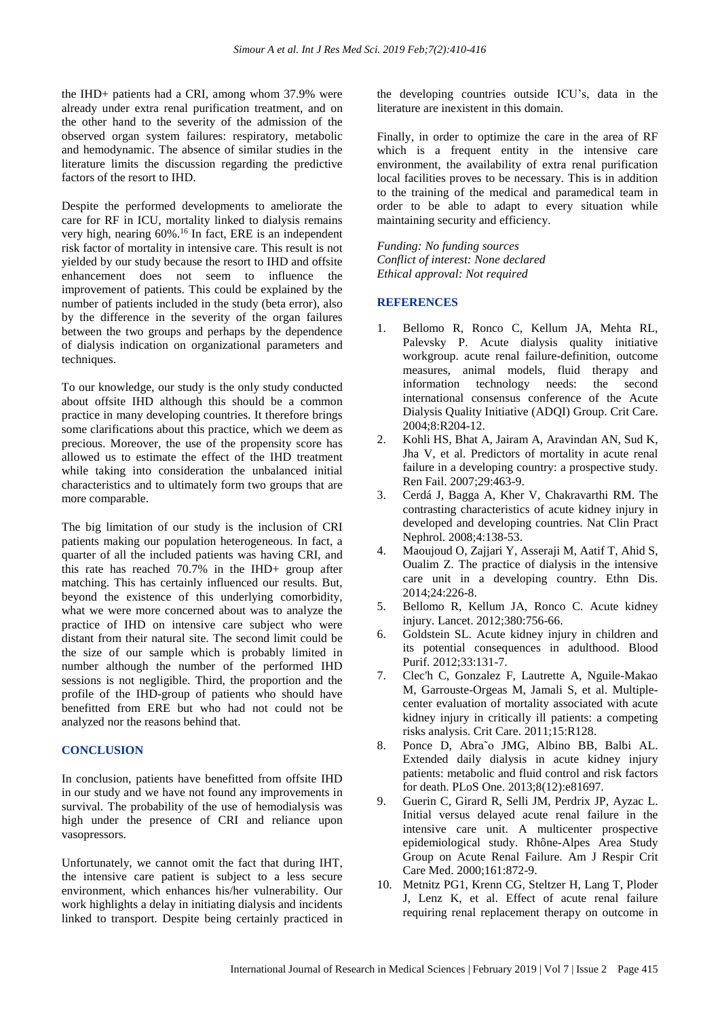the IHD+ patients had a CRI, among whom 37.9% were already under extra renal purification treatment, and on the other hand to the severity of the admission of the observed organ system failures: respiratory, metabolic and hemodynamic. The absence of similar studies in the literature limits the discussion regarding the predictive factors of the resort to IHD.

Despite the performed developments to ameliorate the care for RF in ICU, mortality linked to dialysis remains very high, nearing 60%.<sup>16</sup> In fact, ERE is an independent risk factor of mortality in intensive care. This result is not yielded by our study because the resort to IHD and offsite enhancement does not seem to influence the improvement of patients. This could be explained by the number of patients included in the study (beta error), also by the difference in the severity of the organ failures between the two groups and perhaps by the dependence of dialysis indication on organizational parameters and techniques.

To our knowledge, our study is the only study conducted about offsite IHD although this should be a common practice in many developing countries. It therefore brings some clarifications about this practice, which we deem as precious. Moreover, the use of the propensity score has allowed us to estimate the effect of the IHD treatment while taking into consideration the unbalanced initial characteristics and to ultimately form two groups that are more comparable.

The big limitation of our study is the inclusion of CRI patients making our population heterogeneous. In fact, a quarter of all the included patients was having CRI, and this rate has reached 70.7% in the IHD+ group after matching. This has certainly influenced our results. But, beyond the existence of this underlying comorbidity, what we were more concerned about was to analyze the practice of IHD on intensive care subject who were distant from their natural site. The second limit could be the size of our sample which is probably limited in number although the number of the performed IHD sessions is not negligible. Third, the proportion and the profile of the IHD-group of patients who should have benefitted from ERE but who had not could not be analyzed nor the reasons behind that.

#### **CONCLUSION**

In conclusion, patients have benefitted from offsite IHD in our study and we have not found any improvements in survival. The probability of the use of hemodialysis was high under the presence of CRI and reliance upon vasopressors.

Unfortunately, we cannot omit the fact that during IHT, the intensive care patient is subject to a less secure environment, which enhances his/her vulnerability. Our work highlights a delay in initiating dialysis and incidents linked to transport. Despite being certainly practiced in the developing countries outside ICU's, data in the literature are inexistent in this domain.

Finally, in order to optimize the care in the area of RF which is a frequent entity in the intensive care environment, the availability of extra renal purification local facilities proves to be necessary. This is in addition to the training of the medical and paramedical team in order to be able to adapt to every situation while maintaining security and efficiency.

*Funding: No funding sources Conflict of interest: None declared Ethical approval: Not required*

#### **REFERENCES**

- 1. Bellomo R, Ronco C, Kellum JA, Mehta RL, Palevsky P. Acute dialysis quality initiative workgroup. acute renal failure-definition, outcome measures, animal models, fluid therapy and information technology needs: the second international consensus conference of the Acute Dialysis Quality Initiative (ADQI) Group. Crit Care. 2004;8:R204-12.
- 2. Kohli HS, Bhat A, Jairam A, Aravindan AN, Sud K, Jha V, et al. Predictors of mortality in acute renal failure in a developing country: a prospective study. Ren Fail. 2007;29:463-9.
- 3. Cerdá J, Bagga A, Kher V, Chakravarthi RM. The contrasting characteristics of acute kidney injury in developed and developing countries. Nat Clin Pract Nephrol. 2008;4:138-53.
- 4. Maoujoud O, Zajjari Y, Asseraji M, Aatif T, Ahid S, Oualim Z. The practice of dialysis in the intensive care unit in a developing country. Ethn Dis. 2014;24:226-8.
- 5. Bellomo R, Kellum JA, Ronco C. Acute kidney injury. Lancet. 2012;380:756-66.
- 6. Goldstein SL. Acute kidney injury in children and its potential consequences in adulthood. Blood Purif. 2012;33:131-7.
- 7. Clec'h C, Gonzalez F, Lautrette A, Nguile-Makao M, Garrouste-Orgeas M, Jamali S, et al. Multiplecenter evaluation of mortality associated with acute kidney injury in critically ill patients: a competing risks analysis. Crit Care. 2011;15:R128.
- 8. Ponce D, Abra˜o JMG, Albino BB, Balbi AL. Extended daily dialysis in acute kidney injury patients: metabolic and fluid control and risk factors for death. PLoS One. 2013;8(12):e81697.
- 9. Guerin C, Girard R, Selli JM, Perdrix JP, Ayzac L. Initial versus delayed acute renal failure in the intensive care unit. A multicenter prospective epidemiological study. Rhône-Alpes Area Study Group on Acute Renal Failure. Am J Respir Crit Care Med. 2000;161:872-9.
- 10. Metnitz PG1, Krenn CG, Steltzer H, Lang T, Ploder J, Lenz K, et al. Effect of acute renal failure requiring renal replacement therapy on outcome in